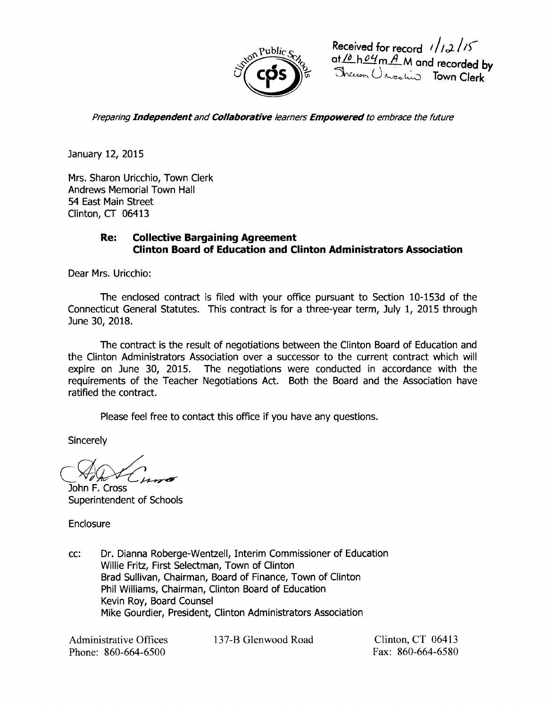

Received for record *i/i2/is* at <u>10 h 04 m A</u> M and recorded by<br>Thereon Universities Town Clerk

Preparing Independent and Collaborative learners Empowered to embrace the future

January 12, 2015

Mrs. Sharon Uricchio, Town Clerk Andrews Memorial Town Hall 54 East Main Street Clinton, CT 06413

## Re: Collective Bargaining Agreement Clinton Board of Education and Clinton Administrators Association

Dear Mrs. Uricchio:

The enclosed contract is filed with your office pursuant to Section 10-153d of the Connecticut General Statutes. This contract is for a three-year term, July 1, 2015 through June 30, 2018.

The contract is the result of negotiations between the Clinton Board of Education and the Clinton Administrators Association over a successor to the current contract which will expire on June 30, 2015. The negotiations were conducted in accordance with the requirements of the Teacher Negotiations Act. Both the Board and the Association have ratified the contract.

Please feel free to contact this office if you have any questions.

**Sincerely** 

John F. Cross Superintendent of Schools

Enclosure

cc: Dr. Dianna Roberge-Wentzell, Interim Commissioner of Education Willie Fritz, First Selectman, Town of Clinton Brad Sullivan, Chairman, Board of Finance, Town of Clinton Phil Williams, Chairman, Clinton Board of Education Kevin Roy, Board Counsel Mike Gourdier, President, Clinton Administrators Association

Administrative Offices Phone: 860-664-6500

137-B Glenwood Road Clinton, CT 06413

Fax: 860-664-6580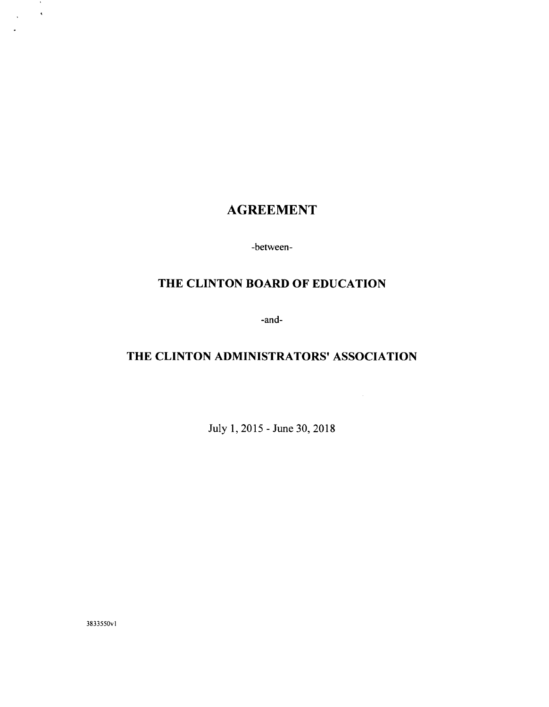# AGREEMENT

-between-

# THE CLINTON BOARD OF EDUCATION

-and-

# THE CLINTON ADMINISTRATORS' ASSOCIATION

July 1, 2015 - June 30, 2018

3833550vl

 $\sim 10$  $\Delta_{\rm{max}}=0.5$ 

 $\ddot{\phantom{1}}$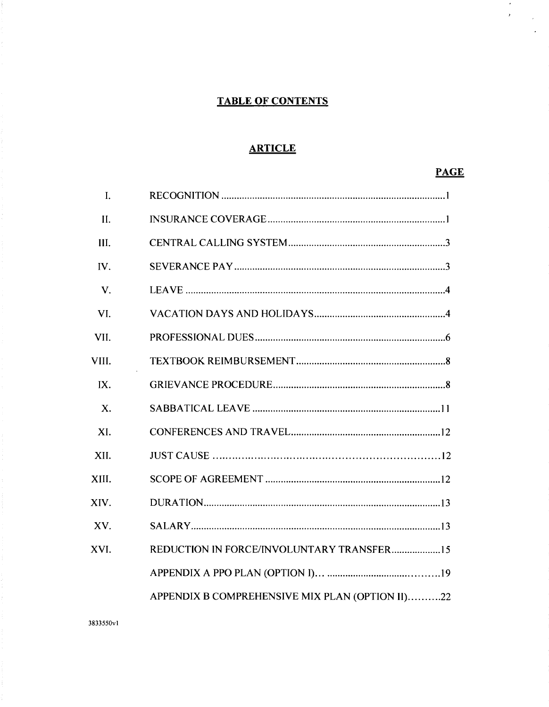## **TABLE OF CONTENTS**

## **ARTICLE**

## **PAGE**

 $\mathcal{A}^{\pm}$  $\lambda_{\rm c}$ 

 $\hat{\boldsymbol{\beta}}$  $\ddot{\phantom{a}}$ 

| $\mathbf{I}$ . |                                                 |
|----------------|-------------------------------------------------|
| II.            |                                                 |
| III.           |                                                 |
| IV.            |                                                 |
| V.             |                                                 |
| VI.            |                                                 |
| VII.           |                                                 |
| VIII.          |                                                 |
| IX.            |                                                 |
| X.             |                                                 |
| XI.            |                                                 |
| XII.           |                                                 |
| XIII.          |                                                 |
| XIV.           |                                                 |
| XV.            |                                                 |
| XVI.           | REDUCTION IN FORCE/INVOLUNTARY TRANSFER15       |
|                |                                                 |
|                | APPENDIX B COMPREHENSIVE MIX PLAN (OPTION II)22 |

3833550v1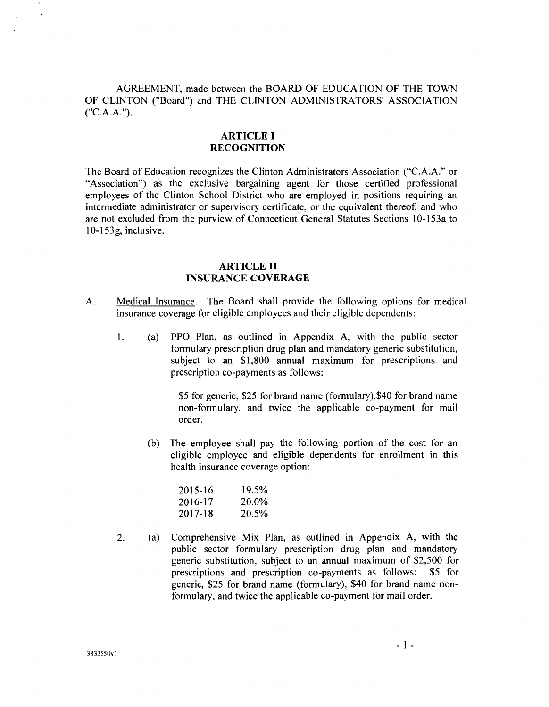AGREEMENT, made between the BOARD OF EDUCATION OF THE TOWN OF CLINTON ("Board") and THE CLINTON ADMINISTRATORS' ASSOCIATION  $("C.A.A.").$ 

## ARTICLE I RECOGNITION

The Board of Education recognizes the Clinton Administrators Association ("C.A.A." or "Association") as the exclusive bargaining agent for those certified professional employees of the Clinton School District who are employed in positions requiring an intermediate administrator or supervisory certificate, or the equivalent thereof, and who are not excluded from the purview of Connecticut General Statutes Sections 1O-l53a to 1O-l53g, inclusive.

## ARTICLE II INSURANCE COVERAGE

- A. Medical Insurance. The Board shall provide the following options for medical insurance coverage for eligible employees and their eligible dependents:
	- 1. (a) PPO Plan, as outlined in Appendix A, with the public sector formulary prescription drug plan and mandatory generic substitution, subject to an \$1,800 annual maximum for prescriptions and prescription co-payments as follows:

\$5 for generic, \$25 for brand name (formulary),\$40 for brand name non-formulary, and twice the applicable co-payment for mail order.

(b) The employee shall pay the following portion of the cost for an eligible employee and eligible dependents for enrollment in this health insurance coverage option:

| 2015-16     | 19.5% |
|-------------|-------|
| $2016 - 17$ | 20.0% |
| 2017-18     | 20.5% |

2. (a) Comprehensive Mix Plan, as outlined in Appendix A, with the public sector formulary prescription drug plan and mandatory generic substitution, subject to an annual maximum of \$2,500 for prescriptions and prescription co-payments as follows: \$5 for generic, \$25 for brand name (formulary), \$40 for brand name nonformulary, and twice the applicable co-payment for mail order.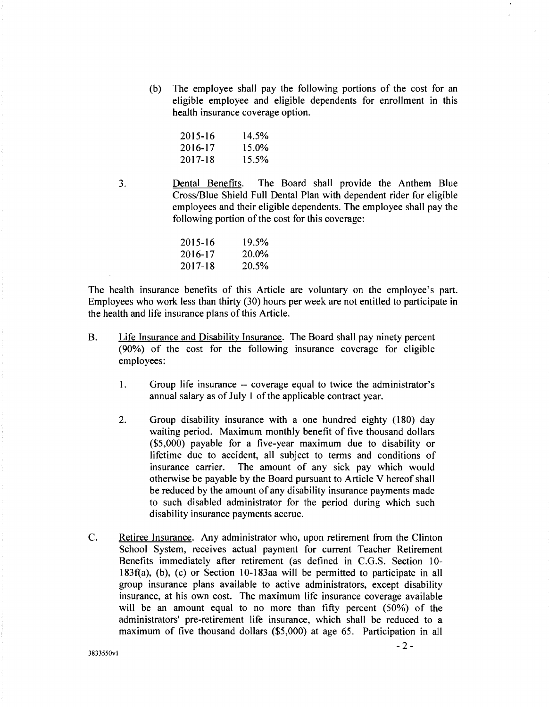(b) The employee shall pay the following portions of the cost for an eligible employee and eligible dependents for enrollment in this health insurance coverage option.

| 2015-16 | 14.5% |
|---------|-------|
| 2016-17 | 15.0% |
| 2017-18 | 15.5% |

3. Dental Benefits. The Board shall provide the Anthem Blue Cross/Blue Shield Full Dental Plan with dependent rider for eligible employees and their eligible dependents. The employee shall pay the following portion of the cost for this coverage:

| 2015-16 | 19.5% |
|---------|-------|
| 2016-17 | 20.0% |
| 2017-18 | 20.5% |

The health insurance benefits of this Article are voluntary on the employee's part. Employees who work less than thirty (30) hours per week are not entitled to participate in the health and life insurance plans of this Article.

- B. Life Insurance and Disability Insurance. The Board shall pay ninety percent (90%) of the cost for the following insurance coverage for eligible employees:
	- I. Group life insurance -- coverage equal to twice the administrator's annual salary as of July I of the applicable contract year.
	- 2. Group disability insurance with a one hundred eighty (180) day waiting period. Maximum monthly benefit of five thousand dollars (\$5,000) payable for a five-year maximum due to disability or lifetime due to accident, all subject to terms and conditions of insurance carrier. The amount of any sick pay which would otherwise be payable by the Board pursuant to Article V hereof shall be reduced by the amount of any disability insurance payments made to such disabled administrator for the period during which such disability insurance payments accrue.
- C. Retiree Insurance. Any administrator who, upon retirement from the Clinton School System, receives actual payment for current Teacher Retirement Benefits immediately after retirement (as defined in C.G.S. Section 10- 183f(a), (b), (c) or Section 10-183aa will be permitted to participate in all group insurance plans available to active administrators, except disability insurance, at his own cost. The maximum life insurance coverage available will be an amount equal to no more than fifty percent (50%) of the administrators' pre-retirement life insurance, which shall be reduced to a maximum of five thousand dollars (\$5,000) at age 65. Participation in all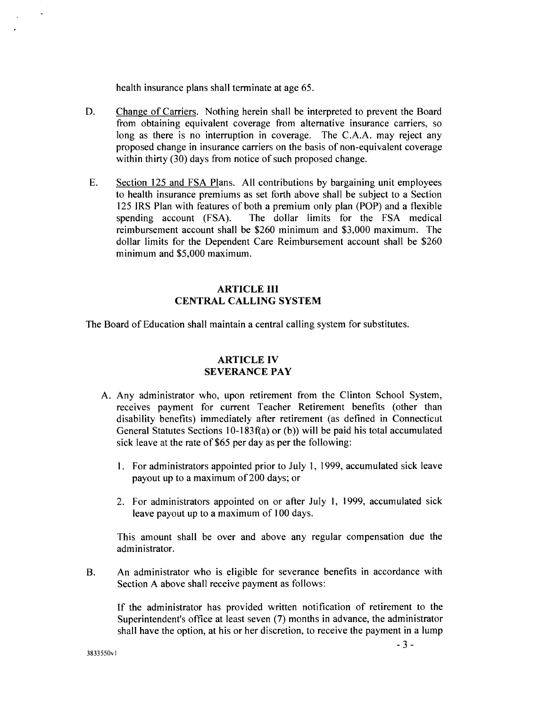health insurance plans shall terminate at age 65.

- D. Change of Carriers. Nothing herein shall be interpreted to prevent the Board from obtaining equivalent coverage from alternative insurance carriers, so long as there is no interruption in coverage. The C.A.A. may reject any proposed change in insurance carriers on the basis of non-equivalent coverage within thirty (30) days from notice of such proposed change.
- E. Section 125 and FSA Plans. All contributions by bargaining unit employees to health insurance premiums as set forth above shall be subject to a Section 125 IRS Plan with features of both a premium only plan (POP) and a flexible spending account (FSA). The dollar limits for the FSA medical reimbursement account shall be \$260 minimum and \$3,000 maximum. The dollar limits for the Dependent Care Reimbursement account shall be \$260 minimum and \$5,000 maximum.

## ARTICLE III CENTRAL CALLING SYSTEM

The Board of Education shall maintain a central calling system for substitutes.

## ARTICLE IV SEVERANCE PAY

- A. Any administrator who, upon retirement from the Clinton School System, receives payment for current Teacher Retirement benefits (other than disability benefits) immediately after retirement (as defined in Connecticut General Statutes Sections 10-183f(a) or (b )) will be paid his total accumulated sick leave at the rate of \$65 per day as per the following:
	- I. For administrators appointed prior to July I, 1999, accumulated sick leave payout up to a maximum of200 days; or
	- 2. For administrators appointed on or after July 1, 1999, accumulated sick leave payout up to a maximum of 100 days.

This amount shall be over and above any regular compensation due the administrator.

B. An administrator who is eligible for severance benefits in accordance with Section A above shall receive payment as follows:

If the administrator has provided written notification of retirement to the Superintendent's office at least seven (7) months in advance, the administrator shall have the option, at his or her discretion, to receive the payment in a lump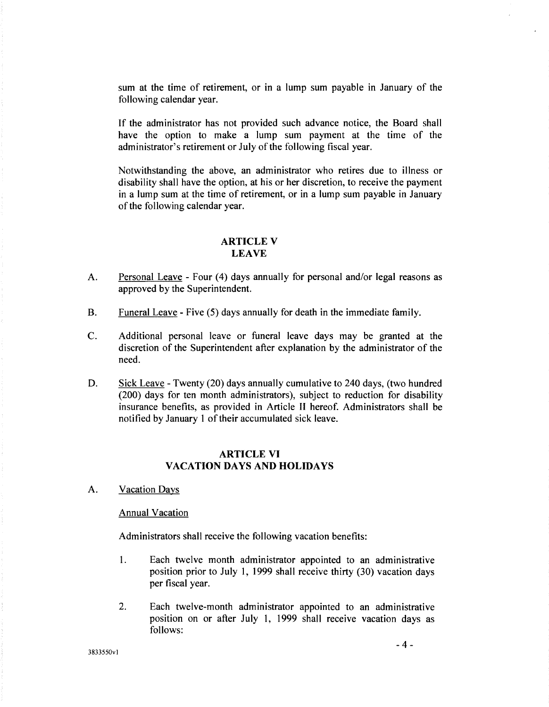sum at the time of retirement, or in a lump sum payable in January of the following calendar year.

If the administrator has not provided such advance notice, the Board shall have the option to make a lump sum payment at the time of the administrator's retirement or July of the following fiscal year.

Notwithstanding the above, an administrator who retires due to illness or disability shall have the option, at his or her discretion, to receive the payment in a lump sum at the time of retirement, or in a lump sum payable in January of the following calendar year.

### ARTICLE V LEAVE

- A. Personal Leave Four (4) days annually for personal and/or legal reasons as approved by the Superintendent.
- B. Funeral Leave Five (5) days annually for death in the immediate family.
- C. Additional personal leave or funeral leave days may be granted at the discretion of the Superintendent after explanation by the administrator of the need.
- D. Sick Leave Twenty (20) days annually cumulative to 240 days, (two hundred (200) days for ten month administrators), subject to reduction for disability insurance benefits, as provided in Article II hereof. Administrators shall be notified by January l of their accumulated sick leave.

### ARTICLE VI VACATION DAYS AND HOLIDAYS

A. Vacation Days

#### Annual Vacation

Administrators shall receive the following vacation benefits:

- 1. Each twelve month administrator appointed to an administrative position prior to July 1, 1999 shall receive thirty (30) vacation days per fiscal year.
- 2. Each twelve-month administrator appointed to an administrative position on or after July 1, 1999 shall receive vacation days as follows:

3833550vl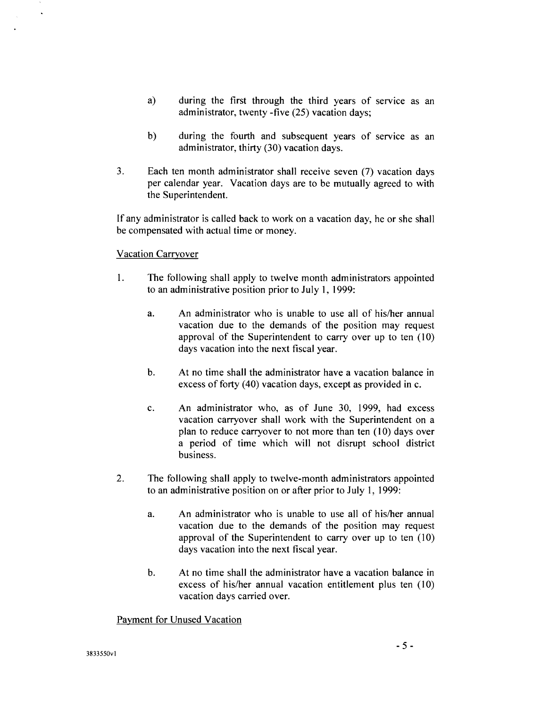- a) during the first through the third years of service as an administrator, twenty -five (25) vacation days;
- b) during the fourth and subsequent years of service as an administrator, thirty (30) vacation days.
- 3. Each ten month administrator shall receive seven (7) vacation days per calendar year. Vacation days are to be mutually agreed to with the Superintendent.

If any administrator is called back to work on a vacation day, he or she shall be compensated with actual time or money.

## Vacation Carryover

- 1. The following shall apply to twelve month administrators appointed to an administrative position prior to July 1, 1999:
	- a. An administrator who is unable to use all of his/her annual vacation due to the demands of the position may request approval of the Superintendent to carry over up to ten (10) days vacation into the next fiscal year.
	- b. At no time shall the administrator have a vacation balance in excess of forty (40) vacation days, except as provided inc.
	- c. An administrator who, as of June 30, 1999, had excess vacation carryover shall work with the Superintendent on a plan to reduce carryover to not more than ten (10) days over a period of time which will not disrupt school district business.
- 2. The following shall apply to twelve-month administrators appointed to an administrative position on or after prior to July 1, 1999:
	- a. An administrator who is unable to use all of his/her annual vacation due to the demands of the position may request approval of the Superintendent to carry over up to ten (10) days vacation into the next fiscal year.
	- b. At no time shall the administrator have a vacation balance in excess of his/her annual vacation entitlement plus ten (10) vacation days carried over.

## Payment for Unused Vacation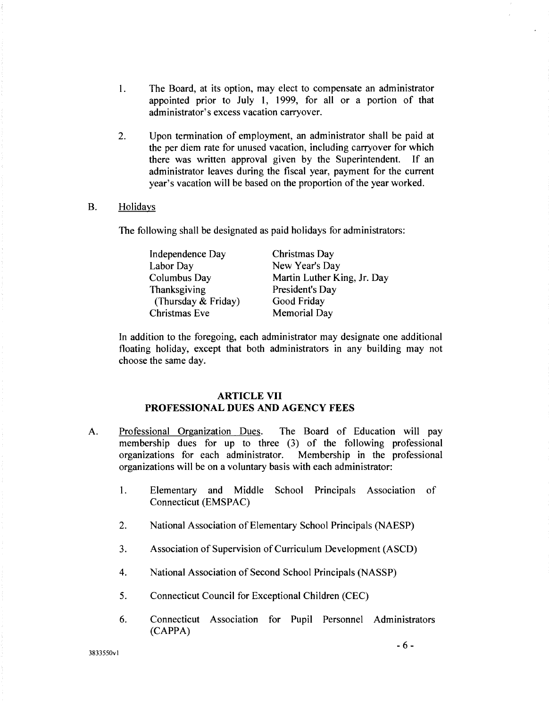- 1. The Board, at its option, may elect to compensate an administrator appointed prior to July 1, 1999, for all or a portion of that administrator's excess vacation carryover.
- 2. Upon termination of employment, an administrator shall be paid at the per diem rate for unused vacation, including carryover for which there was written approval given by the Superintendent. If an administrator leaves during the fiscal year, payment for the current year's vacation will be based on the proportion of the year worked.

#### B. Holidays

The following shall be designated as paid holidays for administrators:

Independence Day Labor Day Columbus Day Thanksgiving (Thursday & Friday) Christmas Eve Christmas Day New Year's Day Martin Luther King, Jr. Day President's Day Good Friday Memorial Day

In addition to the foregoing, each administrator may designate one additional floating holiday, except that both administrators in any building may not choose the same day.

### ARTICLE VII PROFESSIONAL DUES AND AGENCY FEES

- A. Professional Organization Dues. The Board of Education will pay membership dues for up to three (3) of the following professional organizations for each administrator. Membership in the professional organizations will be on a voluntary basis with each administrator:
	- 1. Elementary and Middle School Principals Association of Connecticut (EMSPAC)
	- 2. National Association of Elementary School Principals (NAESP)
	- 3. Association of Supervision of Curriculum Development (ASCD)
	- 4. National Association of Second School Principals (NASSP)
	- 5. Connecticut Council for Exceptional Children (CEC)
	- 6. Connecticut Association for Pupil Personnel Administrators (CAPPA)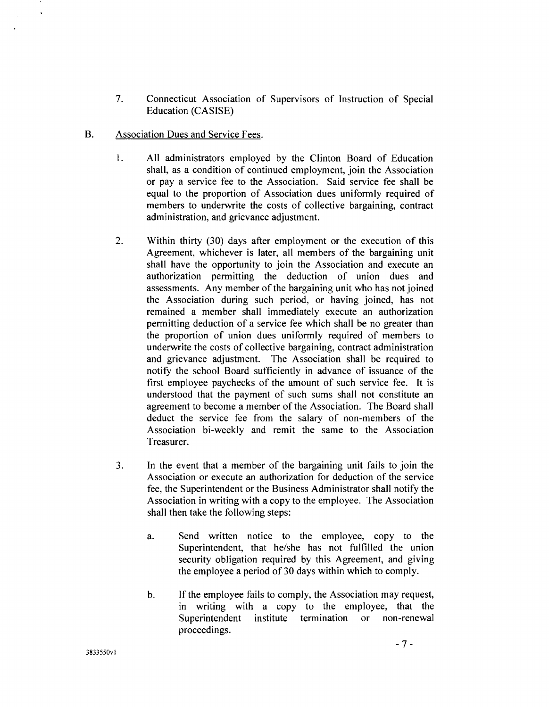- 7. Connecticut Association of Supervisors of Instruction of Special Education (CASISE)
- B. Association Dues and Service Fees.
	- 1. All administrators employed by the Clinton Board of Education shall, as a condition of continued employment, join the Association or pay a service fee to the Association. Said service fee shall be equal to the proportion of Association dues uniformly required of members to underwrite the costs of collective bargaining, contract administration, and grievance adjustment.
	- 2. Within thirty (30) days after employment or the execution of this Agreement, whichever is later, all members of the bargaining unit shall have the opportunity to join the Association and execute an authorization permitting the deduction of union dues and assessments. Any member of the bargaining unit who has not joined the Association during such period, or having joined, has not remained a member shall immediately execute an authorization permitting deduction of a service fee which shall be no greater than the proportion of union dues uniformly required of members to underwrite the costs of collective bargaining, contract administration and grievance adjustment. The Association shall be required to notify the school Board sufficiently in advance of issuance of the first employee paychecks of the amount of such service fee. It is understood that the payment of such sums shall not constitute an agreement to become a member of the Association. The Board shall deduct the service fee from the salary of non-members of the Association bi-weekly and remit the same to the Association Treasurer.
	- 3. In the event that a member of the bargaining unit fails to join the Association or execute an authorization for deduction of the service fee, the Superintendent or the Business Administrator shall notify the Association in writing with a copy to the employee. The Association shall then take the following steps:
		- a. Send written notice to the employee, copy to the Superintendent, that he/she has not fulfilled the union security obligation required by this Agreement, and giving the employee a period of 30 days within which to comply.
		- b. If the employee fails to comply, the Association may request, in writing with a copy to the employee, that the Superintendent institute termination or non-renewal proceedings.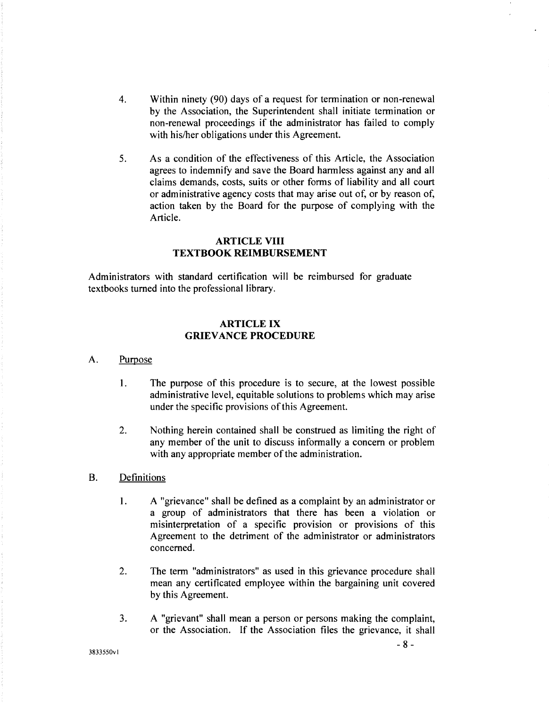- 4. Within ninety (90) days of a request for termination or non-renewal by the Association, the Superintendent shall initiate termination or non-renewal proceedings if the administrator has failed to comply with his/her obligations under this Agreement.
- 5. As a condition of the effectiveness of this Article, the Association agrees to indemnify and save the Board harmless against any and all claims demands, costs, suits or other forms of liability and all court or administrative agency costs that may arise out of, or by reason of, action taken by the Board for the purpose of complying with the Article.

### **ARTICLE VIII TEXTBOOK REIMBURSEMENT**

Administrators with standard certification will be reimbursed for graduate textbooks turned into the professional library.

## **ARTICLE IX GRIEVANCE PROCEDURE**

#### A. Purpose

- **1.** The purpose of this procedure is to secure, at the lowest possible administrative level, equitable solutions to problems which may arise under the specific provisions of this Agreement.
- 2. Nothing herein contained shall be construed as limiting the right of any member of the unit to discuss informally a concern or problem with any appropriate member of the administration.
- B. Definitions
	- 1. A "grievance" shall be defined as a complaint by an administrator or a group of administrators that there has been a violation or misinterpretation of a specific provision or provisions of this Agreement to the detriment of the administrator or administrators concerned.
	- 2. The term "administrators" as used in this grievance procedure shall mean any certificated employee within the bargaining unit covered by this Agreement.
	- 3. A "grievant" shall mean a person or persons making the complaint, or the Association. If the Association files the grievance, it shall

3833550vl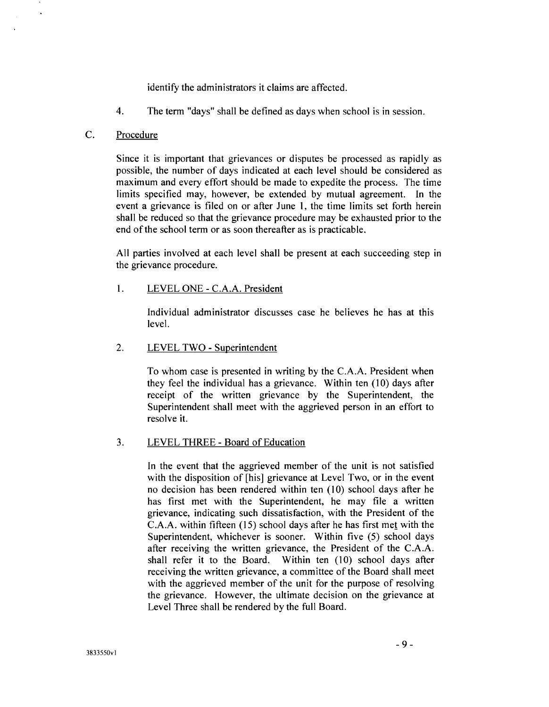identify the administrators it claims are affected.

4. The term "days" shall be defined as days when school is in session.

## C. Procedure

Since it is important that grievances or disputes be processed as rapidly as possible, the number of days indicated at each level should be considered as maximum and every effort should be made to expedite the process. The time limits specified may, however, be extended by mutual agreement. In the event a grievance is filed on or after June 1, the time limits set forth herein shall be reduced so that the grievance procedure may be exhausted prior to the end of the school term or as soon thereafter as is practicable.

All parties involved at each level shall be present at each succeeding step in the grievance procedure.

## I. LEVEL ONE - C.A.A. President

Individual administrator discusses case he believes he has at this level.

## 2. LEVEL TWO - Superintendent

To whom case is presented in writing by the C.A.A. President when they feel the individual has a grievance. Within ten  $(10)$  days after receipt of the written grievance by the Superintendent, the Superintendent shall meet with the aggrieved person in an effort to resolve it.

## 3. LEVEL THREE- Board of Education

In the event that the aggrieved member of the unit is not satisfied with the disposition of [his] grievance at Level Two, or in the event no decision has been rendered within ten  $(10)$  school days after he has first met with the Superintendent, he may file a written grievance, indicating such dissatisfaction, with the President of the  $C.A.A.$  within fifteen (15) school days after he has first met with the Superintendent, whichever is sooner. Within five (5) school days after receiving the written grievance, the President of the C.A.A. shall refer it to the Board. Within ten (10) school days after receiving the written grievance, a committee of the Board shall meet with the aggrieved member of the unit for the purpose of resolving the grievance. However, the ultimate decision on the grievance at Level Three shall be rendered by the full Board.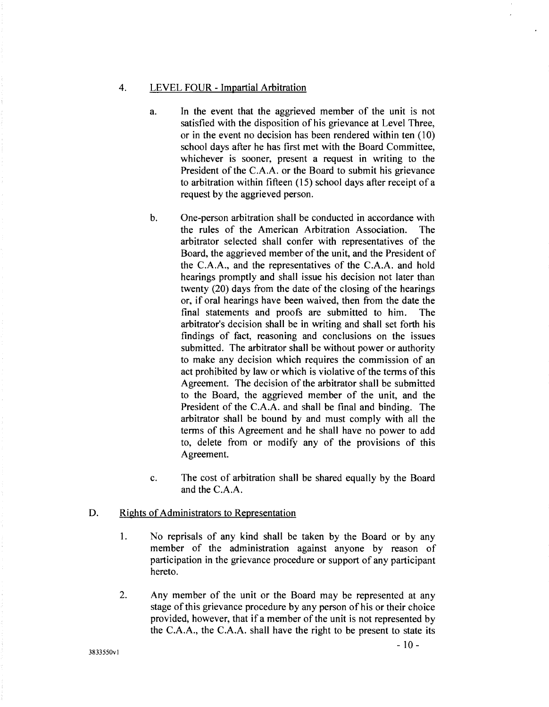#### 4. LEVEL FOUR - Impartial Arbitration

- a. In the event that the aggrieved member of the unit is not satisfied with the disposition of his grievance at Level Three, or in the event no decision has been rendered within ten ( 10) school days after he has first met with the Board Committee, whichever is sooner, present a request in writing to the President of the C.A.A. or the Board to submit his grievance to arbitration within fifteen (15) school days after receipt of a request by the aggrieved person.
- b. One-person arbitration shall be conducted in accordance with the rules of the American Arbitration Association. The arbitrator selected shall confer with representatives of the Board, the aggrieved member of the unit, and the President of the C.A.A., and the representatives of the C.A.A. and hold hearings promptly and shall issue his decision not later than twenty (20) days from the date of the closing of the hearings or, if oral hearings have been waived, then from the date the final statements and proofs are submitted to him. The arbitrator's decision shall be in writing and shall set forth his findings of fact, reasoning and conclusions on the issues submitted. The arbitrator shall be without power or authority to make any decision which requires the commission of an act prohibited by law or which is violative of the terms of this Agreement. The decision of the arbitrator shall be submitted to the Board, the aggrieved member of the unit, and the President of the C.A.A. and shall be final and binding. The arbitrator shall be bound by and must comply with all the terms of this Agreement and he shall have no power to add to, delete from or modify any of the provisions of this Agreement.
- c. The cost of arbitration shall be shared equally by the Board and the C.A.A.

#### D. Rights of Administrators to Representation

- 1. No reprisals of any kind shall be taken by the Board or by any member of the administration against anyone by reason of participation in the grievance procedure or support of any participant hereto.
- 2. Any member of the unit or the Board may be represented at any stage of this grievance procedure by any person of his or their choice provided, however, that if a member of the unit is not represented by the C.A.A., the C.A.A. shall have the right to be present to state its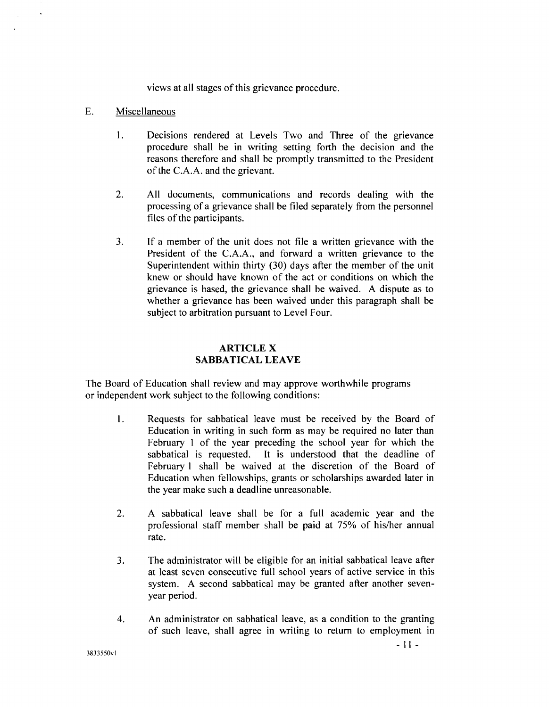views at all stages of this grievance procedure.

### E. Miscellaneous

- 1. Decisions rendered at Levels Two and Three of the grievance procedure shall be in writing setting forth the decision and the reasons therefore and shall be promptly transmitted to the President of the C.A.A. and the grievant.
- 2. All documents, communications and records dealing with the processing of a grievance shall be filed separately from the personnel files of the participants.
- 3. If a member of the unit does not file a written grievance with the President of the C.A.A., and forward a written grievance to the Superintendent within thirty (30) days after the member of the unit knew or should have known of the act or conditions on which the grievance is based, the grievance shall be waived. A dispute as to whether a grievance has been waived under this paragraph shall be subject to arbitration pursuant to Level Four.

## **ARTICLEX SABBATICAL LEAVE**

The Board of Education shall review and may approve worthwhile programs or independent work subject to the following conditions:

- **1.** Requests for sabbatical leave must be received by the Board of Education in writing in such form as may be required no later than February 1 of the year preceding the school year for which the sabbatical is requested. It is understood that the deadline of February **1** shall be waived at the discretion of the Board of Education when fellowships, grants or scholarships awarded later in the year make such a deadline unreasonable.
- 2. A sabbatical leave shall be for a full academic year and the professional staff member shall be paid at 75% of his/her annual rate.
- 3. The administrator will be eligible for an initial sabbatical leave after at least seven consecutive full school years of active service in this system. A second sabbatical may be granted after another sevenyear period.
- 4. An administrator on sabbatical leave, as a condition to the granting of such leave, shall agree in writing to return to employment in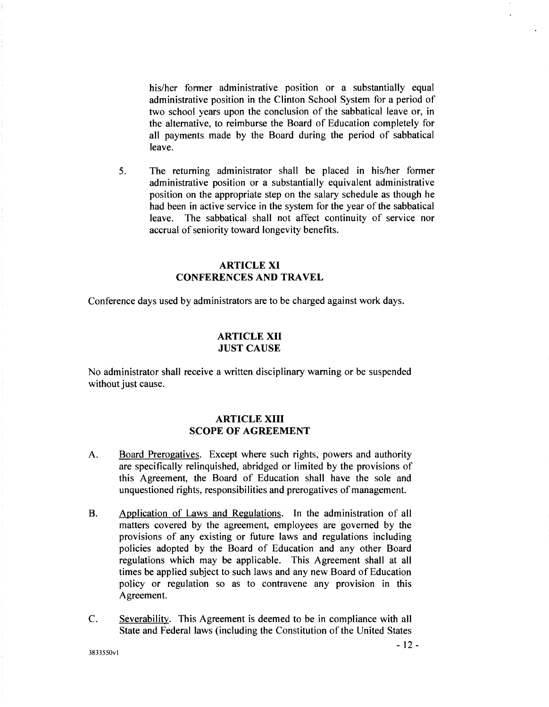his/her former administrative position or a substantially equal administrative position in the Clinton School System for a period of two school years upon the conclusion of the sabbatical leave or, in the alternative, to reimburse the Board of Education completely for all payments made by the Board during the period of sabbatical leave.

5. The returning administrator shall be placed in his/her former administrative position or a substantially equivalent administrative position on the appropriate step on the salary schedule as though he had been in active service in the system for the year of the sabbatical leave. The sabbatical shall not affect continuity of service nor accrual of seniority toward longevity benefits.

## ARTICLE XI CONFERENCES AND TRAVEL

Conference days used by administrators are to be charged against work days.

### ARTICLE XII JUST CAUSE

No administrator shall receive a written disciplinary warning or be suspended without just cause.

## ARTICLE XIII SCOPE OF AGREEMENT

- A. Board Prerogatives. Except where such rights, powers and authority are specifically relinquished, abridged or limited by the provisions of this Agreement, the Board of Education shall have the sole and unquestioned rights, responsibilities and prerogatives of management.
- B. Application of Laws and Regulations. In the administration of all matters covered by the agreement, employees are governed by the provisions of any existing or future laws and regulations including policies adopted by the Board of Education and any other Board regulations which may be applicable. This Agreement shall at all times be applied subject to such laws and any new Board of Education policy or regulation so as to contravene any provision in this Agreement.
- C. Severability. This Agreement is deemed to be in compliance with all State and Federal laws (including the Constitution of the United States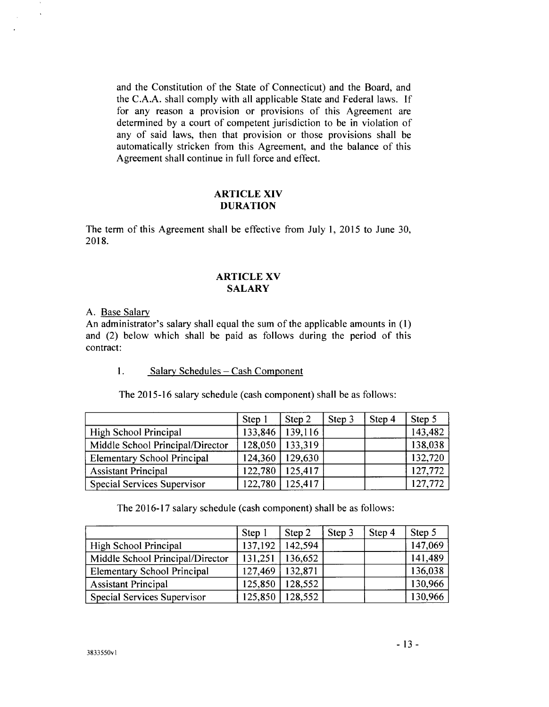and the Constitution of the State of Connecticut) and the Board, and the C.A.A. shall comply with all applicable State and Federal laws. If for any reason a provision or provisions of this Agreement are determined by a court of competent jurisdiction to be in violation of any of said laws, then that provision or those provisions shall be automatically stricken from this Agreement, and the balance of this Agreement shall continue in full force and effect.

### **ARTICLE XIV DURATION**

The term of this Agreement shall be effective from July I, 2015 to June 30, 2018.

### **ARTICLE XV SALARY**

A. Base Salary

 $\ddot{\phantom{1}}$ 

An administrator's salary shall equal the sum of the applicable amounts in (1) and (2) below which shall be paid as follows during the period of this contract:

## 1. **Salary Schedules - Cash Component**

|                                    | <b>Step</b> | Step 2  | Step 3 | Step 4 | Step 5  |
|------------------------------------|-------------|---------|--------|--------|---------|
| High School Principal              | 133,846     | 139,116 |        |        | 143,482 |
| Middle School Principal/Director   | 128,050     | 133,319 |        |        | 138,038 |
| <b>Elementary School Principal</b> | 124,360     | 129,630 |        |        | 132,720 |
| <b>Assistant Principal</b>         | 122,780     | 125,417 |        |        | 127,772 |
| Special Services Supervisor        | 122,780     | 125,417 |        |        | 127,772 |

The 2015-16 salary schedule (cash component) shall be as follows:

The 2016-17 salary schedule (cash component) shall be as follows:

|                                    | Step 1  | Step 2  | Step 3 | Step 4 | Step 5  |
|------------------------------------|---------|---------|--------|--------|---------|
| High School Principal              | 137,192 | 142,594 |        |        | 147,069 |
| Middle School Principal/Director   | 131,251 | 136,652 |        |        | 141,489 |
| <b>Elementary School Principal</b> | 127,469 | 132,871 |        |        | 136,038 |
| <b>Assistant Principal</b>         | 125,850 | 128,552 |        |        | 130,966 |
| Special Services Supervisor        | 125,850 | 128,552 |        |        | 130,966 |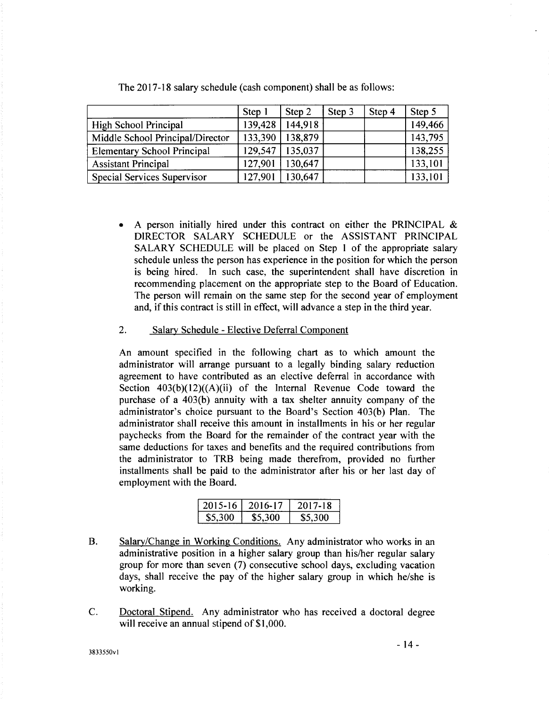|                                    | Step 1  | Step 2  | Step 3 | Step 4 | Step 5  |
|------------------------------------|---------|---------|--------|--------|---------|
| High School Principal              | 139,428 | 144,918 |        |        | 149,466 |
| Middle School Principal/Director   | 133,390 | 138,879 |        |        | 143,795 |
| <b>Elementary School Principal</b> | 129,547 | 135,037 |        |        | 138,255 |
| <b>Assistant Principal</b>         | 127,901 | 130,647 |        |        | 133,101 |
| <b>Special Services Supervisor</b> | 127,901 | 130,647 |        |        | 133,101 |

The 2017-18 salary schedule (cash component) shall be as follows:

A person initially hired under this contract on either the PRINCIPAL  $\&$ DIRECTOR SALARY SCHEDULE or the ASSISTANT PRINCIPAL SALARY SCHEDULE will be placed on Step 1 of the appropriate salary schedule unless the person has experience in the position for which the person is being hired. In such case, the superintendent shall have discretion in recommending placement on the appropriate step to the Board of Education. The person will remain on the same step for the second year of employment and, if this contract is still in effect, will advance a step in the third year.

## 2. Salary Schedule - Elective Deferral Component

An amount specified in the following chart as to which amount the administrator will arrange pursuant to a legally binding salary reduction agreement to have contributed as an elective deferral in accordance with Section  $403(b)(12)((A)(ii)$  of the Internal Revenue Code toward the purchase of a 403(b) annuity with a tax shelter annuity company of the administrator's choice pursuant to the Board's Section 403(b) Plan. The administrator shall receive this amount in installments in his or her regular paychecks from the Board for the remainder of the contract year with the same deductions for taxes and benefits and the required contributions from the administrator to TRB being made therefrom, provided no further installments shall be paid to the administrator after his or her last day of employment with the Board.

| 2015-16 L | -2016-17 | 2017-18  |
|-----------|----------|----------|
| -85.300-  | \$5.300  | -85.300- |

- B. Salary/Change in Working Conditions. Any administrator who works in an administrative position in a higher salary group than his/her regular salary group for more than seven (7) consecutive school days, excluding vacation days, shall receive the pay of the higher salary group in which he/she is working.
- C. Doctoral Stipend. Any administrator who has received a doctoral degree will receive an annual stipend of \$1,000.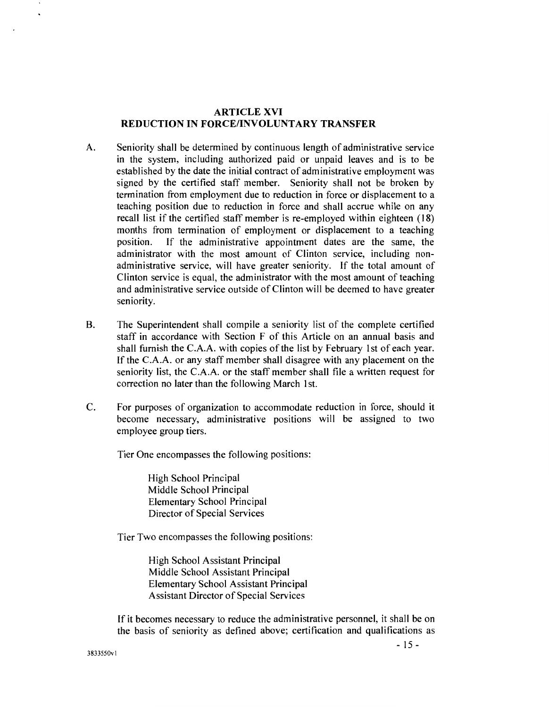## ARTICLE XVI REDUCTION IN FORCE/INVOLUNTARY TRANSFER

- A. Seniority shall be determined by continuous length of administrative service in the system, including authorized paid or unpaid leaves and is to be established by the date the initial contract of administrative employment was signed by the certified staff member. Seniority shall not be broken by termination from employment due to reduction in force or displacement to a teaching position due to reduction in force and shall accrue while on any recall list if the certified staff member is re-employed within eighteen (18) months from termination of employment or displacement to a teaching position. If the administrative appointment dates are the same, the administrator with the most amount of Clinton service, including nonadministrative service, will have greater seniority. If the total amount of Clinton service is equal, the administrator with the most amount of teaching and administrative service outside of Clinton will be deemed to have greater seniority.
- B. The Superintendent shall compile a seniority list of the complete certified staff in accordance with Section F of this Article on an annual basis and shall furnish the C.A.A. with copies of the list by February 1st of each year. If the C.A.A. or any staff member shall disagree with any placement on the seniority list, the C.A.A. or the staff member shall file a written request for correction no later than the following March 1st.
- C. For purposes of organization to accommodate reduction in force, should it become necessary, administrative positions will be assigned to two employee group tiers.

Tier One encompasses the following positions:

High School Principal Middle School Principal Elementary School Principal Director of Special Services

Tier Two encompasses the following positions:

High School Assistant Principal Middle School Assistant Principal Elementary School Assistant Principal Assistant Director of Special Services

If it becomes necessary to reduce the administrative personnel, it shall be on the basis of seniority as defined above; certification and qualifications as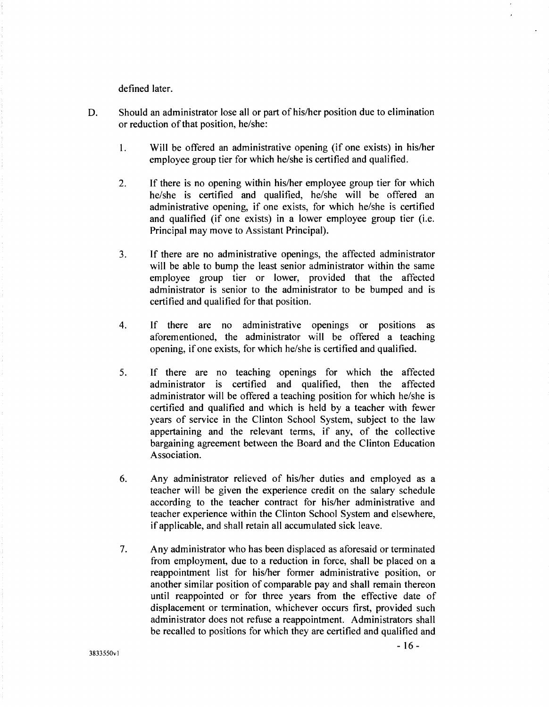defined later.

- D. Should an administrator lose all or part of his/her position due to elimination or reduction of that position, he/she:
	- 1. Will be offered an administrative opening (if one exists) in his/her employee group tier for which he/she is certified and qualified.
	- 2. If there is no opening within his/her employee group tier for which he/she is certified and qualified, he/she will be offered an administrative opening, if one exists, for which he/she is certified and qualified (if one exists) in a lower employee group tier (i.e. Principal may move to Assistant Principal).
	- 3. If there are no administrative openings, the affected administrator will be able to bump the least senior administrator within the same employee group tier or lower, provided that the affected administrator is senior to the administrator to be bumped and is certified and qualified for that position.
	- 4. If there are no administrative openings or positions as aforementioned, the administrator will be offered a teaching opening, if one exists, for which he/she is certified and qualified.
	- 5. If there are no teaching openings for which the affected administrator is certified and qualified, then the affected administrator will be offered a teaching position for which he/she is certified and qualified and which is held by a teacher with fewer years of service in the Clinton School System, subject to the law appertaining and the relevant terms, if any, of the collective bargaining agreement between the Board and the Clinton Education Association.
	- 6. Any administrator relieved of his/her duties and employed as a teacher will be given the experience credit on the salary schedule according to the teacher contract for his/her administrative and teacher experience within the Clinton School System and elsewhere, if applicable, and shall retain all accumulated sick leave.
	- 7. Any administrator who has been displaced as aforesaid or terminated from employment, due to a reduction in force, shall be placed on a reappointment list for his/her former administrative position, or another similar position of comparable pay and shall remain thereon until reappointed or for three years from the effective date of displacement or termination, whichever occurs first, provided such administrator does not refuse a reappointment. Administrators shall be recalled to positions for which they are certified and qualified and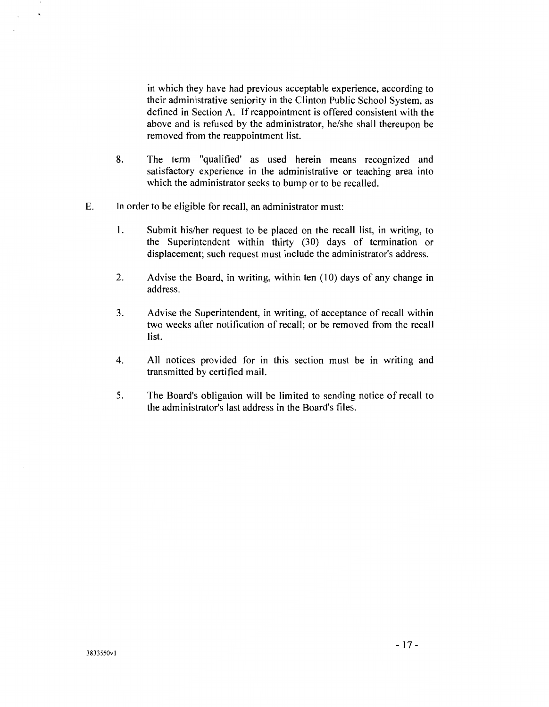in which they have had previous acceptable experience, according to their administrative seniority in the Clinton Public School System, as defined in Section A. If reappointment is offered consistent with the above and is refused by the administrator, he/she shall thereupon be removed from the reappointment list.

- 8. The term "qualified' as used herein means recognized and satisfactory experience in the administrative or teaching area into which the administrator seeks to bump or to be recalled.
- E. In order to be eligible for recall, an administrator must:
	- I. Submit his/her request to be placed on the recall list, in writing, to the Superintendent within thirty (30) days of termination or displacement; such request must include the administrator's address.
	- 2. Advise the Board, in writing, within ten (10) days of any change in address.
	- 3. Advise the Superintendent, in writing, of acceptance of recall within two weeks after notification of recall; or be removed from the recall list.
	- 4. All notices provided for in this section must be in writing and transmitted by certified mail.
	- 5. The Board's obligation will be limited to sending notice of recall to the administrator's last address in the Board's files.

 $\ddot{\phantom{0}}$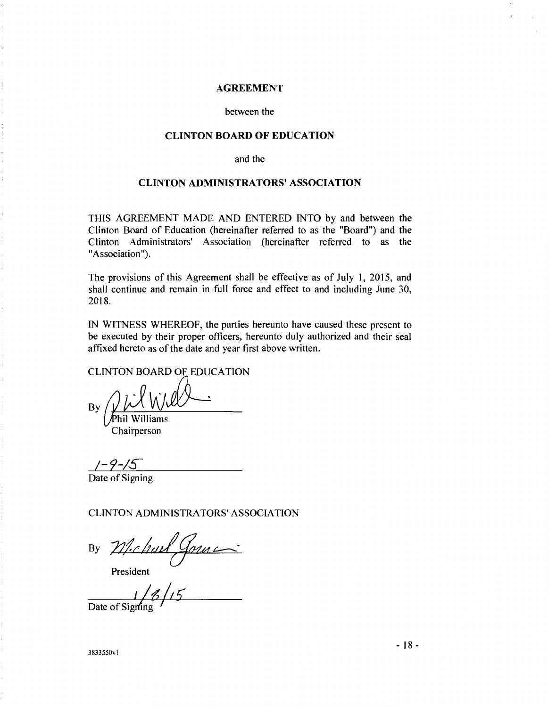#### **AGREEMENT**

#### between the

### **CLINTON BOARD OF EDUCATION**

and the

## **CLINTON ADMINISTRATORS' ASSOCIATION**

THIS AGREEMENT MADE AND ENTERED INTO by and between the Clinton Board of Education (hereinafter referred to as the "Board") and the Clinton Administrators' Association (hereinafter referred to as the "Association").

The provisions of this Agreement shall be effective as of July 1, 2015, and shall continue and remain in full force and effect to and including June 30, 2018.

IN WITNESS WHEREOF, the parties hereunto have caused these present to be executed by their proper officers, hereunto duly authorized and their seal affixed hereto as of the date and year first above written.

CLINTON BOARD OF EDUCATION

 $\frac{1}{2}$   $\frac{1}{2}$   $\frac{1}{2}$   $\frac{1}{2}$   $\frac{1}{2}$   $\frac{1}{2}$   $\frac{1}{2}$   $\frac{1}{2}$   $\frac{1}{2}$   $\frac{1}{2}$   $\frac{1}{2}$   $\frac{1}{2}$   $\frac{1}{2}$   $\frac{1}{2}$   $\frac{1}{2}$   $\frac{1}{2}$   $\frac{1}{2}$   $\frac{1}{2}$   $\frac{1}{2}$   $\frac{1}{2}$   $\frac{1}{2}$   $\frac{1}{2}$ 

Chairperson

*/-9-!S-*

Date of Signing

CLINTON ADMINISTRATORS' ASSOCIATION

By Michael Gorne

President

<u>Date of Signing</u>

 $-18$  - 3833550vl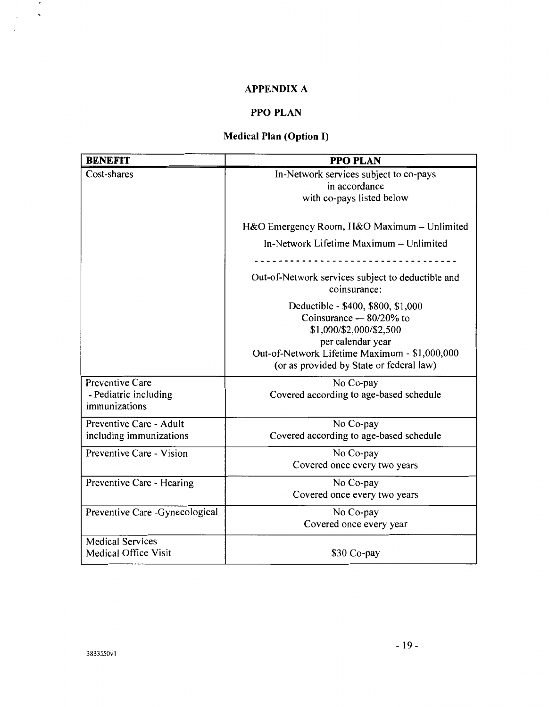## **APPENDIX A**

## **PPO PLAN**

## **Medical Plan (Option I)**

| <b>BENEFIT</b>                                            | <b>PPO PLAN</b>                                                                                                 |  |  |
|-----------------------------------------------------------|-----------------------------------------------------------------------------------------------------------------|--|--|
| Cost-shares                                               | In-Network services subject to co-pays                                                                          |  |  |
|                                                           | in accordance                                                                                                   |  |  |
|                                                           | with co-pays listed below                                                                                       |  |  |
|                                                           | H&O Emergency Room, H&O Maximum – Unlimited                                                                     |  |  |
|                                                           | In-Network Lifetime Maximum - Unlimited                                                                         |  |  |
|                                                           |                                                                                                                 |  |  |
|                                                           | Out-of-Network services subject to deductible and<br>coinsurance:                                               |  |  |
|                                                           | Deductible - \$400, \$800, \$1,000<br>Coinsurance $-80/20\%$ to<br>\$1,000/\$2,000/\$2,500<br>per calendar year |  |  |
|                                                           | Out-of-Network Lifetime Maximum - \$1,000,000<br>(or as provided by State or federal law)                       |  |  |
| Preventive Care<br>- Pediatric including<br>immunizations | No Co-pay<br>Covered according to age-based schedule                                                            |  |  |
| Preventive Care - Adult                                   | No Co-pay                                                                                                       |  |  |
| including immunizations                                   | Covered according to age-based schedule                                                                         |  |  |
| Preventive Care - Vision                                  | No Co-pay                                                                                                       |  |  |
|                                                           | Covered once every two years                                                                                    |  |  |
| Preventive Care - Hearing                                 | No Co-pay                                                                                                       |  |  |
|                                                           | Covered once every two years                                                                                    |  |  |
| Preventive Care - Gynecological                           | No Co-pay                                                                                                       |  |  |
|                                                           | Covered once every year                                                                                         |  |  |
| <b>Medical Services</b><br><b>Medical Office Visit</b>    | \$30 Co-pay                                                                                                     |  |  |

 $\sim$   $\sim$  $\Delta \sim 10^{-4}$ 

 $\overline{\phantom{a}}$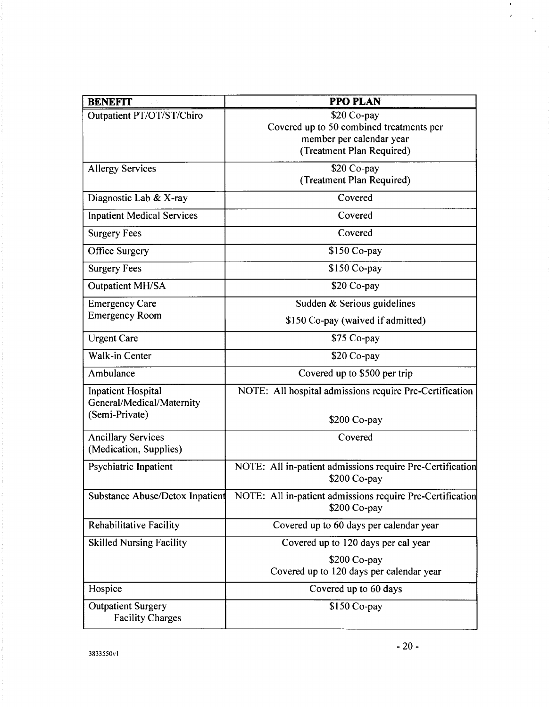| <b>BENEFIT</b>                                                           | <b>PPO PLAN</b>                                                                                                   |
|--------------------------------------------------------------------------|-------------------------------------------------------------------------------------------------------------------|
| Outpatient PT/OT/ST/Chiro                                                | $$20$ Co-pay<br>Covered up to 50 combined treatments per<br>member per calendar year<br>(Treatment Plan Required) |
| <b>Allergy Services</b>                                                  | \$20 Co-pay<br>(Treatment Plan Required)                                                                          |
| Diagnostic Lab & X-ray                                                   | Covered                                                                                                           |
| <b>Inpatient Medical Services</b>                                        | Covered                                                                                                           |
| <b>Surgery Fees</b>                                                      | Covered                                                                                                           |
| <b>Office Surgery</b>                                                    | \$150 Co-pay                                                                                                      |
| <b>Surgery Fees</b>                                                      | \$150 Co-pay                                                                                                      |
| <b>Outpatient MH/SA</b>                                                  | \$20 Co-pay                                                                                                       |
| <b>Emergency Care</b>                                                    | Sudden & Serious guidelines                                                                                       |
| <b>Emergency Room</b>                                                    | \$150 Co-pay (waived if admitted)                                                                                 |
| <b>Urgent Care</b>                                                       | \$75 Co-pay                                                                                                       |
| Walk-in Center                                                           | \$20 Co-pay                                                                                                       |
| Ambulance                                                                | Covered up to \$500 per trip                                                                                      |
| <b>Inpatient Hospital</b><br>General/Medical/Maternity<br>(Semi-Private) | NOTE: All hospital admissions require Pre-Certification                                                           |
|                                                                          | $$200$ Co-pay                                                                                                     |
| <b>Ancillary Services</b><br>(Medication, Supplies)                      | Covered                                                                                                           |
| Psychiatric Inpatient                                                    | NOTE: All in-patient admissions require Pre-Certification<br>\$200 Co-pay                                         |
| Substance Abuse/Detox Inpatient                                          | NOTE: All in-patient admissions require Pre-Certification<br>\$200 Co-pay                                         |
| <b>Rehabilitative Facility</b>                                           | Covered up to 60 days per calendar year                                                                           |
| <b>Skilled Nursing Facility</b>                                          | Covered up to 120 days per cal year                                                                               |
|                                                                          | \$200 Co-pay<br>Covered up to 120 days per calendar year                                                          |
| Hospice                                                                  | Covered up to 60 days                                                                                             |
| <b>Outpatient Surgery</b><br><b>Facility Charges</b>                     | $$150$ Co-pay                                                                                                     |

 $\bullet$  $\epsilon$ 

 $\bar{z}$  $\ddot{\phantom{0}}$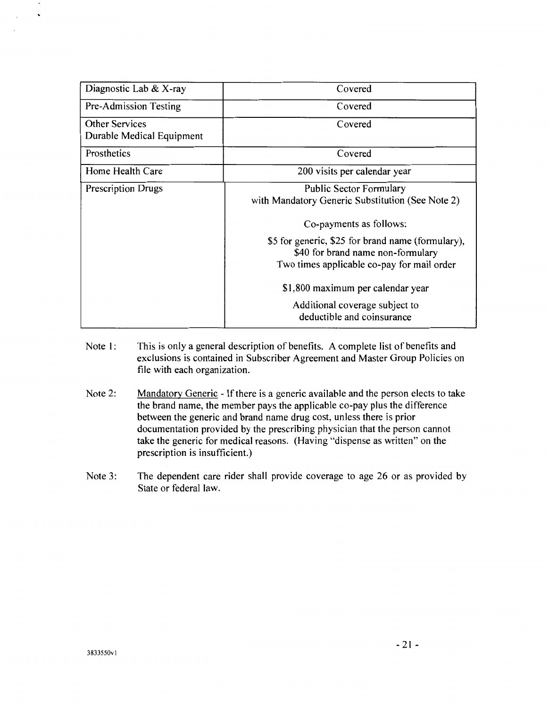| Diagnostic Lab & X-ray                             | Covered                                                                                                                              |
|----------------------------------------------------|--------------------------------------------------------------------------------------------------------------------------------------|
| Pre-Admission Testing                              | Covered                                                                                                                              |
| <b>Other Services</b><br>Durable Medical Equipment | Covered                                                                                                                              |
| Prosthetics                                        | Covered                                                                                                                              |
| Home Health Care                                   | 200 visits per calendar year                                                                                                         |
| <b>Prescription Drugs</b>                          | <b>Public Sector Formulary</b><br>with Mandatory Generic Substitution (See Note 2)<br>Co-payments as follows:                        |
|                                                    | \$5 for generic, \$25 for brand name (formulary),<br>\$40 for brand name non-formulary<br>Two times applicable co-pay for mail order |
|                                                    | \$1,800 maximum per calendar year                                                                                                    |
|                                                    | Additional coverage subject to<br>deductible and coinsurance                                                                         |

- Note l: This is only a general description of benefits. A complete list of benefits and exclusions is contained in Subscriber Agreement and Master Group Policies on file with each organization.
- Note 2: Mandatory Generic - If there is a generic available and the person elects to take the brand name, the member pays the applicable co-pay plus the difference between the generic and brand name drug cost, unless there is prior documentation provided by the prescribing physician that the person cannot take the generic for medical reasons. (Having "dispense as written" on the prescription is insufficient.)
- Note 3: The dependent care rider shall provide coverage to age 26 or as provided by State or federal law.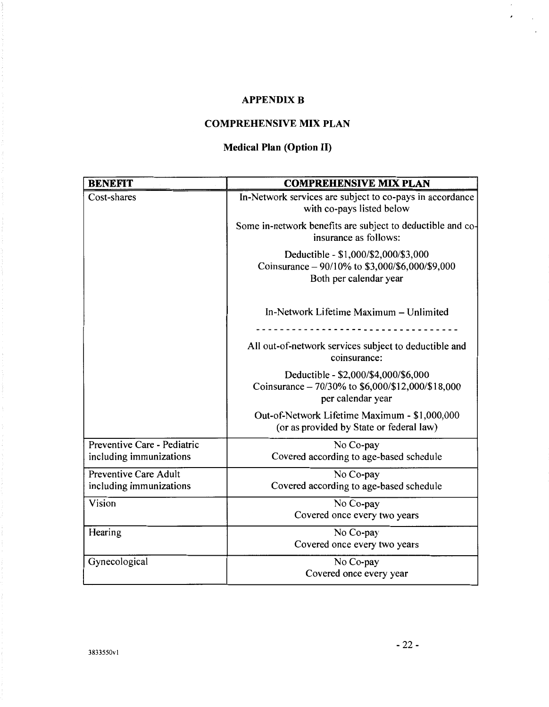## **APPENDIX B**

## **COMPREHENSIVE MIX PLAN**

## **Medical Plan (Option II)**

| <b>BENEFIT</b>                                   | <b>COMPREHENSIVE MIX PLAN</b>                                                                                     |
|--------------------------------------------------|-------------------------------------------------------------------------------------------------------------------|
| Cost-shares                                      | In-Network services are subject to co-pays in accordance<br>with co-pays listed below                             |
|                                                  | Some in-network benefits are subject to deductible and co-<br>insurance as follows:                               |
|                                                  | Deductible - \$1,000/\$2,000/\$3,000<br>Coinsurance - 90/10% to \$3,000/\$6,000/\$9,000<br>Both per calendar year |
|                                                  | In-Network Lifetime Maximum - Unlimited                                                                           |
|                                                  | All out-of-network services subject to deductible and<br>coinsurance:                                             |
|                                                  | Deductible - \$2,000/\$4,000/\$6,000<br>Coinsurance - 70/30% to \$6,000/\$12,000/\$18,000<br>per calendar year    |
|                                                  | Out-of-Network Lifetime Maximum - \$1,000,000<br>(or as provided by State or federal law)                         |
| Preventive Care - Pediatric                      | No Co-pay                                                                                                         |
| including immunizations                          | Covered according to age-based schedule                                                                           |
| Preventive Care Adult<br>including immunizations | No Co-pay<br>Covered according to age-based schedule                                                              |
| Vision                                           | No Co-pay<br>Covered once every two years                                                                         |
| Hearing                                          | No Co-pay<br>Covered once every two years                                                                         |
| Gynecological                                    | No Co-pay<br>Covered once every year                                                                              |

 $\epsilon$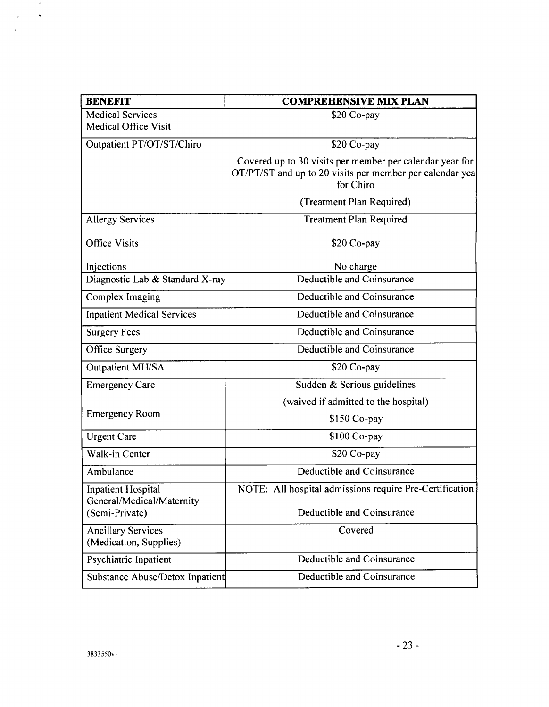| <b>BENEFIT</b>                                         | <b>COMPREHENSIVE MIX PLAN</b>                                                                                                     |
|--------------------------------------------------------|-----------------------------------------------------------------------------------------------------------------------------------|
| <b>Medical Services</b>                                | \$20 Co-pay                                                                                                                       |
| <b>Medical Office Visit</b>                            |                                                                                                                                   |
| Outpatient PT/OT/ST/Chiro                              | \$20 Co-pay                                                                                                                       |
|                                                        | Covered up to 30 visits per member per calendar year for<br>OT/PT/ST and up to 20 visits per member per calendar yea<br>for Chiro |
|                                                        | (Treatment Plan Required)                                                                                                         |
| <b>Allergy Services</b>                                | <b>Treatment Plan Required</b>                                                                                                    |
| <b>Office Visits</b>                                   | $$20$ Co-pay                                                                                                                      |
| Injections                                             | No charge                                                                                                                         |
| Diagnostic Lab & Standard X-ray                        | Deductible and Coinsurance                                                                                                        |
| Complex Imaging                                        | Deductible and Coinsurance                                                                                                        |
| <b>Inpatient Medical Services</b>                      | Deductible and Coinsurance                                                                                                        |
| <b>Surgery Fees</b>                                    | Deductible and Coinsurance                                                                                                        |
| <b>Office Surgery</b>                                  | Deductible and Coinsurance                                                                                                        |
| Outpatient MH/SA                                       | \$20 Co-pay                                                                                                                       |
| <b>Emergency Care</b>                                  | Sudden & Serious guidelines                                                                                                       |
|                                                        | (waived if admitted to the hospital)                                                                                              |
| <b>Emergency Room</b>                                  | \$150 Co-pay                                                                                                                      |
| <b>Urgent Care</b>                                     | \$100 Co-pay                                                                                                                      |
| Walk-in Center                                         | $$20$ Co-pay                                                                                                                      |
| Ambulance                                              | Deductible and Coinsurance                                                                                                        |
| <b>Inpatient Hospital</b><br>General/Medical/Maternity | NOTE: All hospital admissions require Pre-Certification                                                                           |
| (Semi-Private)                                         | Deductible and Coinsurance                                                                                                        |
| <b>Ancillary Services</b><br>(Medication, Supplies)    | Covered                                                                                                                           |
| Psychiatric Inpatient                                  | Deductible and Coinsurance                                                                                                        |
| Substance Abuse/Detox Inpatient                        | Deductible and Coinsurance                                                                                                        |

 $\mathcal{L}(\mathcal{S})$  $\langle \varphi \rangle$  .  $\langle \varphi \rangle$ 

 $\bar{\mathbf{A}}$